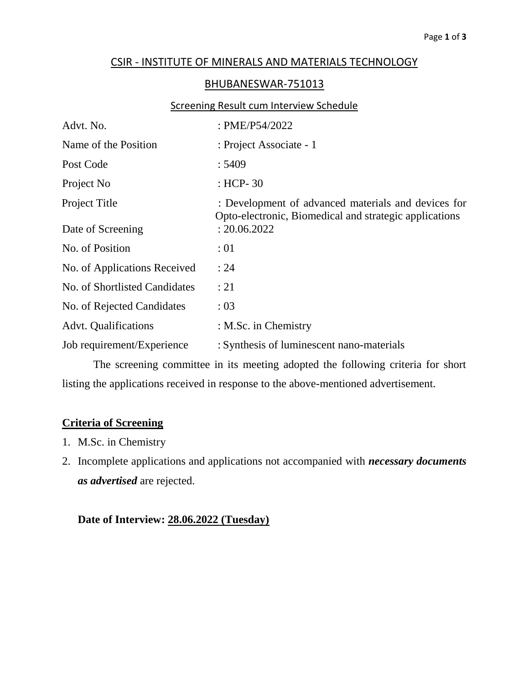## CSIR - INSTITUTE OF MINERALS AND MATERIALS TECHNOLOGY

### BHUBANESWAR-751013

#### Screening Result cum Interview Schedule

| Advt. No.                     | : PME/P54/2022                                                                                                |
|-------------------------------|---------------------------------------------------------------------------------------------------------------|
| Name of the Position          | : Project Associate - 1                                                                                       |
| Post Code                     | : 5409                                                                                                        |
| Project No                    | : HCP- $30$                                                                                                   |
| Project Title                 | : Development of advanced materials and devices for<br>Opto-electronic, Biomedical and strategic applications |
| Date of Screening             | : 20.06.2022                                                                                                  |
| No. of Position               | :01                                                                                                           |
| No. of Applications Received  | : 24                                                                                                          |
| No. of Shortlisted Candidates | : 21                                                                                                          |
| No. of Rejected Candidates    | : 03                                                                                                          |
| <b>Advt.</b> Qualifications   | : M.Sc. in Chemistry                                                                                          |
| Job requirement/Experience    | : Synthesis of luminescent nano-materials                                                                     |

The screening committee in its meeting adopted the following criteria for short listing the applications received in response to the above-mentioned advertisement.

#### **Criteria of Screening**

- 1. M.Sc. in Chemistry
- 2. Incomplete applications and applications not accompanied with *necessary documents as advertised* are rejected.

# **Date of Interview: 28.06.2022 (Tuesday)**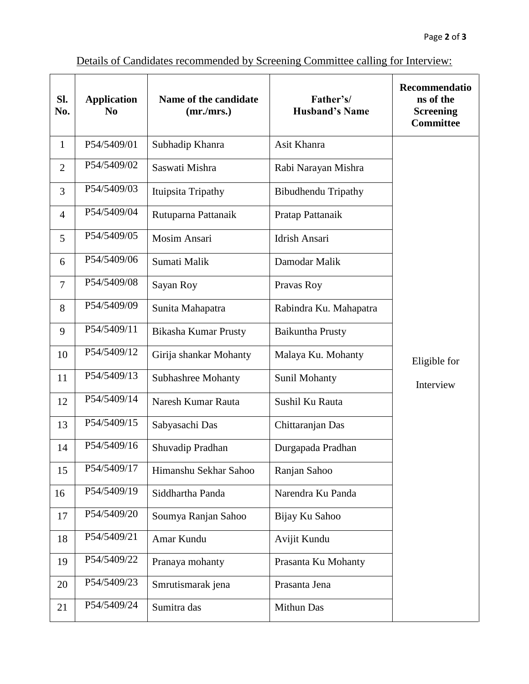| SI.<br>No.     | <b>Application</b><br>No | Name of the candidate<br>(mr/mrs.) | Father's/<br><b>Husband's Name</b> | Recommendatio<br>ns of the<br><b>Screening</b><br><b>Committee</b> |
|----------------|--------------------------|------------------------------------|------------------------------------|--------------------------------------------------------------------|
| $\mathbf{1}$   | P54/5409/01              | Subhadip Khanra                    | Asit Khanra                        |                                                                    |
| $\overline{2}$ | P54/5409/02              | Saswati Mishra                     | Rabi Narayan Mishra                |                                                                    |
| 3              | P54/5409/03              | Ituipsita Tripathy                 | <b>Bibudhendu Tripathy</b>         |                                                                    |
| $\overline{4}$ | P54/5409/04              | Rutuparna Pattanaik                | Pratap Pattanaik                   |                                                                    |
| 5              | P54/5409/05              | <b>Mosim Ansari</b>                | Idrish Ansari                      |                                                                    |
| 6              | P54/5409/06              | Sumati Malik                       | Damodar Malik                      |                                                                    |
| $\overline{7}$ | P54/5409/08              | Sayan Roy                          | Pravas Roy                         |                                                                    |
| 8              | P54/5409/09              | Sunita Mahapatra                   | Rabindra Ku. Mahapatra             |                                                                    |
| 9              | P54/5409/11              | Bikasha Kumar Prusty               | <b>Baikuntha Prusty</b>            |                                                                    |
| 10             | P54/5409/12              | Girija shankar Mohanty             | Malaya Ku. Mohanty                 | Eligible for                                                       |
| 11             | P54/5409/13              | Subhashree Mohanty                 | <b>Sunil Mohanty</b>               | Interview                                                          |
| 12             | P54/5409/14              | Naresh Kumar Rauta                 | Sushil Ku Rauta                    |                                                                    |
| 13             | P54/5409/15              | Sabyasachi Das                     | Chittaranjan Das                   |                                                                    |
| 14             | P54/5409/16              | Shuvadip Pradhan                   | Durgapada Pradhan                  |                                                                    |
| 15             | P54/5409/17              | Himanshu Sekhar Sahoo              | Ranjan Sahoo                       |                                                                    |
| 16             | P54/5409/19              | Siddhartha Panda                   | Narendra Ku Panda                  |                                                                    |
| 17             | P54/5409/20              | Soumya Ranjan Sahoo                | Bijay Ku Sahoo                     |                                                                    |
| 18             | P54/5409/21              | Amar Kundu                         | Avijit Kundu                       |                                                                    |
| 19             | P54/5409/22              | Pranaya mohanty                    | Prasanta Ku Mohanty                |                                                                    |
| 20             | P54/5409/23              | Smrutismarak jena                  | Prasanta Jena                      |                                                                    |
| 21             | P54/5409/24              | Sumitra das                        | Mithun Das                         |                                                                    |

# Details of Candidates recommended by Screening Committee calling for Interview: